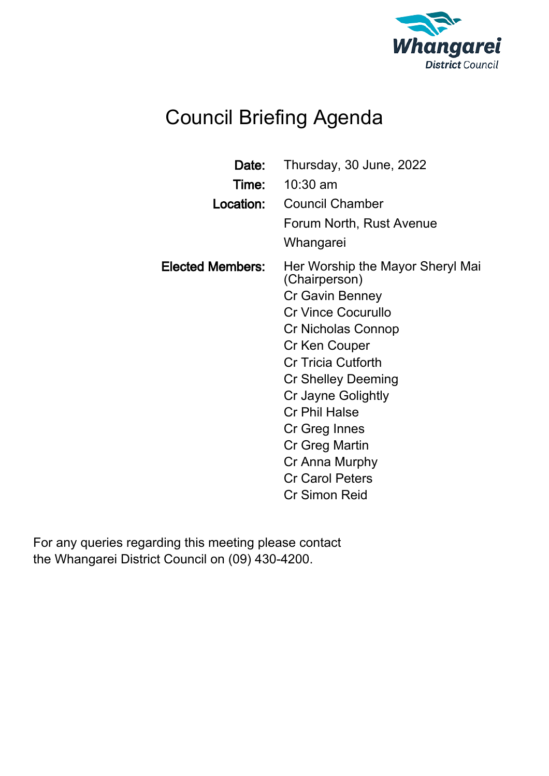

# Council Briefing Agenda

| Date:                   | Thursday, 30 June, 2022<br><b>Time:</b> 10:30 am                                                                                                                                                                                                                                                                                                        |
|-------------------------|---------------------------------------------------------------------------------------------------------------------------------------------------------------------------------------------------------------------------------------------------------------------------------------------------------------------------------------------------------|
| Location:               | <b>Council Chamber</b><br>Forum North, Rust Avenue<br>Whangarei                                                                                                                                                                                                                                                                                         |
| <b>Elected Members:</b> | Her Worship the Mayor Sheryl Mai<br>(Chairperson)<br>Cr Gavin Benney<br><b>Cr Vince Cocurullo</b><br>Cr Nicholas Connop<br>Cr Ken Couper<br><b>Cr Tricia Cutforth</b><br><b>Cr Shelley Deeming</b><br>Cr Jayne Golightly<br><b>Cr Phil Halse</b><br>Cr Greg Innes<br>Cr Greg Martin<br>Cr Anna Murphy<br><b>Cr Carol Peters</b><br><b>Cr Simon Reid</b> |

For any queries regarding this meeting please contact the Whangarei District Council on (09) 430-4200.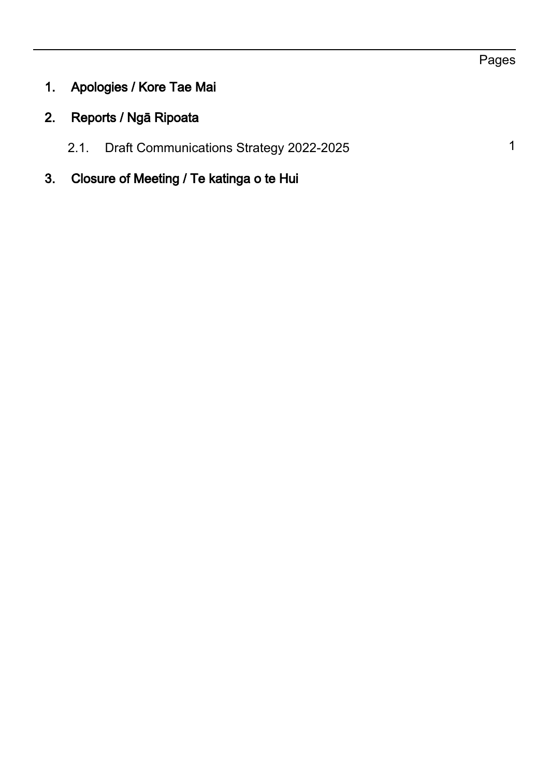- 1. Apologies / Kore Tae Mai
- 2. Reports / Ngā Ripoata
	- 2.1. Draft Communications Strategy 2022-2025 1
- 3. Closure of Meeting / Te katinga o te Hui